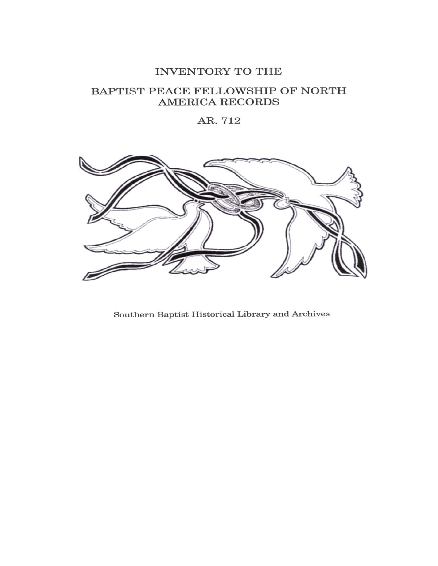## INVENTORY TO THE

# BAPTIST PEACE FELLOWSHIP OF NORTH **AMERICA RECORDS**

AR. 712



Southern Baptist Historical Library and Archives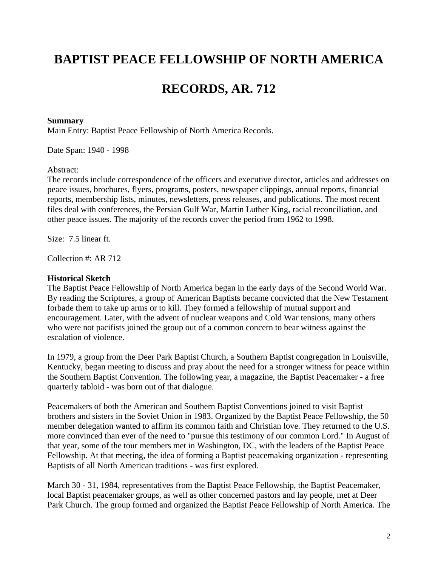# **BAPTIST PEACE FELLOWSHIP OF NORTH AMERICA**

# **RECORDS, AR. 712**

#### **Summary**

Main Entry: Baptist Peace Fellowship of North America Records.

Date Span: 1940 - 1998

#### Abstract:

The records include correspondence of the officers and executive director, articles and addresses on peace issues, brochures, flyers, programs, posters, newspaper clippings, annual reports, financial reports, membership lists, minutes, newsletters, press releases, and publications. The most recent files deal with conferences, the Persian Gulf War, Martin Luther King, racial reconciliation, and other peace issues. The majority of the records cover the period from 1962 to 1998.

Size: 7.5 linear ft.

Collection #: AR 712

#### **Historical Sketch**

The Baptist Peace Fellowship of North America began in the early days of the Second World War. By reading the Scriptures, a group of American Baptists became convicted that the New Testament forbade them to take up arms or to kill. They formed a fellowship of mutual support and encouragement. Later, with the advent of nuclear weapons and Cold War tensions, many others who were not pacifists joined the group out of a common concern to bear witness against the escalation of violence.

In 1979, a group from the Deer Park Baptist Church, a Southern Baptist congregation in Louisville, Kentucky, began meeting to discuss and pray about the need for a stronger witness for peace within the Southern Baptist Convention. The following year, a magazine, the Baptist Peacemaker - a free quarterly tabloid - was born out of that dialogue.

Peacemakers of both the American and Southern Baptist Conventions joined to visit Baptist brothers and sisters in the Soviet Union in 1983. Organized by the Baptist Peace Fellowship, the 50 member delegation wanted to affirm its common faith and Christian love. They returned to the U.S. more convinced than ever of the need to "pursue this testimony of our common Lord." In August of that year, some of the tour members met in Washington, DC, with the leaders of the Baptist Peace Fellowship. At that meeting, the idea of forming a Baptist peacemaking organization - representing Baptists of all North American traditions - was first explored.

March 30 - 31, 1984, representatives from the Baptist Peace Fellowship, the Baptist Peacemaker, local Baptist peacemaker groups, as well as other concerned pastors and lay people, met at Deer Park Church. The group formed and organized the Baptist Peace Fellowship of North America. The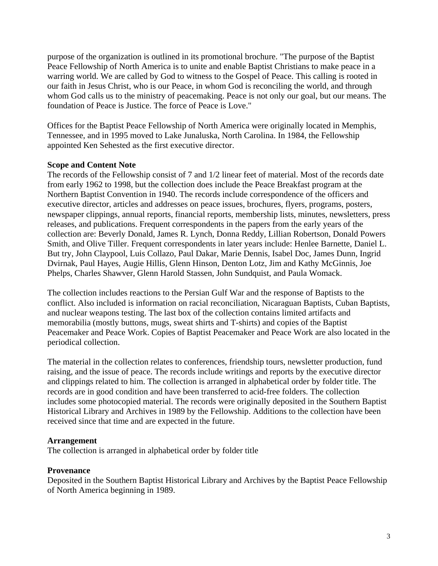purpose of the organization is outlined in its promotional brochure. "The purpose of the Baptist Peace Fellowship of North America is to unite and enable Baptist Christians to make peace in a warring world. We are called by God to witness to the Gospel of Peace. This calling is rooted in our faith in Jesus Christ, who is our Peace, in whom God is reconciling the world, and through whom God calls us to the ministry of peacemaking. Peace is not only our goal, but our means. The foundation of Peace is Justice. The force of Peace is Love."

Offices for the Baptist Peace Fellowship of North America were originally located in Memphis, Tennessee, and in 1995 moved to Lake Junaluska, North Carolina. In 1984, the Fellowship appointed Ken Sehested as the first executive director.

#### **Scope and Content Note**

The records of the Fellowship consist of 7 and 1/2 linear feet of material. Most of the records date from early 1962 to 1998, but the collection does include the Peace Breakfast program at the Northern Baptist Convention in 1940. The records include correspondence of the officers and executive director, articles and addresses on peace issues, brochures, flyers, programs, posters, newspaper clippings, annual reports, financial reports, membership lists, minutes, newsletters, press releases, and publications. Frequent correspondents in the papers from the early years of the collection are: Beverly Donald, James R. Lynch, Donna Reddy, Lillian Robertson, Donald Powers Smith, and Olive Tiller. Frequent correspondents in later years include: Henlee Barnette, Daniel L. But try, John Claypool, Luis Collazo, Paul Dakar, Marie Dennis, Isabel Doc, James Dunn, Ingrid Dvirnak, Paul Hayes, Augie Hillis, Glenn Hinson, Denton Lotz, Jim and Kathy McGinnis, Joe Phelps, Charles Shawver, Glenn Harold Stassen, John Sundquist, and Paula Womack.

The collection includes reactions to the Persian Gulf War and the response of Baptists to the conflict. Also included is information on racial reconciliation, Nicaraguan Baptists, Cuban Baptists, and nuclear weapons testing. The last box of the collection contains limited artifacts and memorabilia (mostly buttons, mugs, sweat shirts and T-shirts) and copies of the Baptist Peacemaker and Peace Work. Copies of Baptist Peacemaker and Peace Work are also located in the periodical collection.

The material in the collection relates to conferences, friendship tours, newsletter production, fund raising, and the issue of peace. The records include writings and reports by the executive director and clippings related to him. The collection is arranged in alphabetical order by folder title. The records are in good condition and have been transferred to acid-free folders. The collection includes some photocopied material. The records were originally deposited in the Southern Baptist Historical Library and Archives in 1989 by the Fellowship. Additions to the collection have been received since that time and are expected in the future.

#### **Arrangement**

The collection is arranged in alphabetical order by folder title

## **Provenance**

Deposited in the Southern Baptist Historical Library and Archives by the Baptist Peace Fellowship of North America beginning in 1989.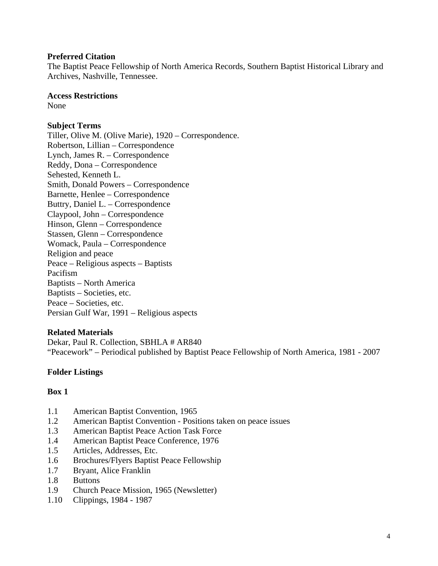#### **Preferred Citation**

The Baptist Peace Fellowship of North America Records, Southern Baptist Historical Library and Archives, Nashville, Tennessee.

#### **Access Restrictions**

None

### **Subject Terms**

Tiller, Olive M. (Olive Marie), 1920 – Correspondence. Robertson, Lillian – Correspondence Lynch, James R. – Correspondence Reddy, Dona – Correspondence Sehested, Kenneth L. Smith, Donald Powers – Correspondence Barnette, Henlee – Correspondence Buttry, Daniel L. – Correspondence Claypool, John – Correspondence Hinson, Glenn – Correspondence Stassen, Glenn – Correspondence Womack, Paula – Correspondence Religion and peace Peace – Religious aspects – Baptists Pacifism Baptists – North America Baptists – Societies, etc. Peace – Societies, etc. Persian Gulf War, 1991 – Religious aspects

#### **Related Materials**

Dekar, Paul R. Collection, SBHLA # AR840 "Peacework" – Periodical published by Baptist Peace Fellowship of North America, 1981 - 2007

## **Folder Listings**

- 1.1 American Baptist Convention, 1965
- 1.2 American Baptist Convention Positions taken on peace issues
- 1.3 American Baptist Peace Action Task Force
- 1.4 American Baptist Peace Conference, 1976
- 1.5 Articles, Addresses, Etc.
- 1.6 Brochures/Flyers Baptist Peace Fellowship
- 1.7 Bryant, Alice Franklin
- 1.8 Buttons
- 1.9 Church Peace Mission, 1965 (Newsletter)
- 1.10 Clippings, 1984 1987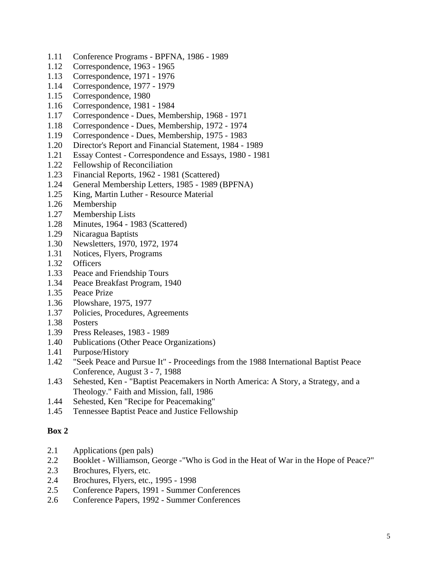- 1.11 Conference Programs BPFNA, 1986 1989
- 1.12 Correspondence, 1963 1965
- 1.13 Correspondence, 1971 1976
- 1.14 Correspondence, 1977 1979
- 1.15 Correspondence, 1980
- 1.16 Correspondence, 1981 1984
- 1.17 Correspondence Dues, Membership, 1968 1971
- 1.18 Correspondence Dues, Membership, 1972 1974
- 1.19 Correspondence Dues, Membership, 1975 1983
- 1.20 Director's Report and Financial Statement, 1984 1989
- 1.21 Essay Contest Correspondence and Essays, 1980 1981
- 1.22 Fellowship of Reconciliation
- 1.23 Financial Reports, 1962 1981 (Scattered)
- 1.24 General Membership Letters, 1985 1989 (BPFNA)
- 1.25 King, Martin Luther Resource Material
- 1.26 Membership
- 1.27 Membership Lists
- 1.28 Minutes, 1964 1983 (Scattered)
- 1.29 Nicaragua Baptists
- 1.30 Newsletters, 1970, 1972, 1974
- 1.31 Notices, Flyers, Programs
- 1.32 Officers
- 1.33 Peace and Friendship Tours
- 1.34 Peace Breakfast Program, 1940
- 1.35 Peace Prize
- 1.36 Plowshare, 1975, 1977
- 1.37 Policies, Procedures, Agreements
- 1.38 Posters
- 1.39 Press Releases, 1983 1989
- 1.40 Publications (Other Peace Organizations)
- 1.41 Purpose/History
- 1.42 "Seek Peace and Pursue It" Proceedings from the 1988 International Baptist Peace Conference, August 3 - 7, 1988
- 1.43 Sehested, Ken "Baptist Peacemakers in North America: A Story, a Strategy, and a Theology." Faith and Mission, fall, 1986
- 1.44 Sehested, Ken "Recipe for Peacemaking"
- 1.45 Tennessee Baptist Peace and Justice Fellowship

- 2.1 Applications (pen pals)
- 2.2 Booklet Williamson, George -"Who is God in the Heat of War in the Hope of Peace?"
- 2.3 Brochures, Flyers, etc.
- 2.4 Brochures, Flyers, etc., 1995 1998
- 2.5 Conference Papers, 1991 Summer Conferences
- 2.6 Conference Papers, 1992 Summer Conferences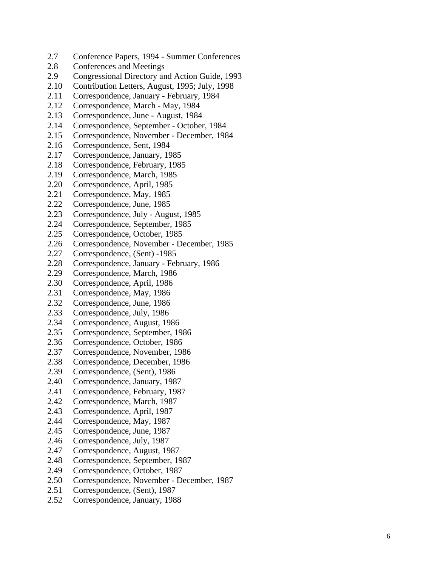- 2.7 Conference Papers, 1994 Summer Conferences
- 2.8 Conferences and Meetings
- 2.9 Congressional Directory and Action Guide, 1993
- 2.10 Contribution Letters, August, 1995; July, 1998
- 2.11 Correspondence, January February, 1984
- 2.12 Correspondence, March May, 1984
- 2.13 Correspondence, June August, 1984
- 2.14 Correspondence, September October, 1984
- 2.15 Correspondence, November December, 1984
- 2.16 Correspondence, Sent, 1984
- 2.17 Correspondence, January, 1985
- 2.18 Correspondence, February, 1985
- 2.19 Correspondence, March, 1985
- 2.20 Correspondence, April, 1985
- 2.21 Correspondence, May, 1985
- 2.22 Correspondence, June, 1985
- 2.23 Correspondence, July August, 1985
- 2.24 Correspondence, September, 1985
- 2.25 Correspondence, October, 1985
- 2.26 Correspondence, November December, 1985
- 2.27 Correspondence, (Sent) -1985
- 2.28 Correspondence, January February, 1986
- 2.29 Correspondence, March, 1986
- 2.30 Correspondence, April, 1986
- 2.31 Correspondence, May, 1986
- 2.32 Correspondence, June, 1986
- 2.33 Correspondence, July, 1986
- 2.34 Correspondence, August, 1986
- 2.35 Correspondence, September, 1986
- 2.36 Correspondence, October, 1986
- 2.37 Correspondence, November, 1986
- 2.38 Correspondence, December, 1986
- 2.39 Correspondence, (Sent), 1986
- 2.40 Correspondence, January, 1987
- 2.41 Correspondence, February, 1987
- 2.42 Correspondence, March, 1987
- 2.43 Correspondence, April, 1987
- 2.44 Correspondence, May, 1987
- 2.45 Correspondence, June, 1987
- 2.46 Correspondence, July, 1987
- 2.47 Correspondence, August, 1987
- 2.48 Correspondence, September, 1987
- 2.49 Correspondence, October, 1987
- 2.50 Correspondence, November December, 1987
- 2.51 Correspondence, (Sent), 1987
- 2.52 Correspondence, January, 1988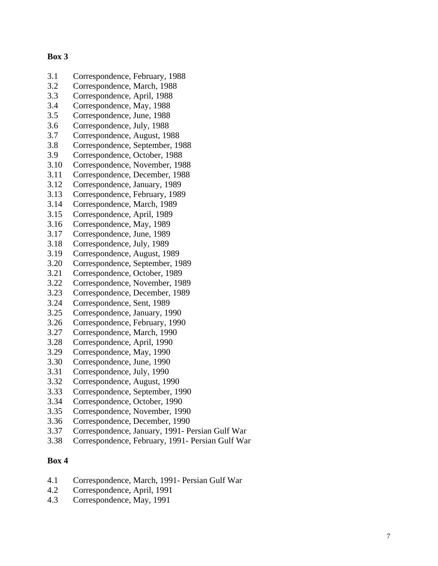#### **Box 3**

- 3.1 Correspondence, February, 1988
- 3.2 Correspondence, March, 1988
- 3.3 Correspondence, April, 1988
- 3.4 Correspondence, May, 1988
- 3.5 Correspondence, June, 1988
- 3.6 Correspondence, July, 1988
- 3.7 Correspondence, August, 1988
- 3.8 Correspondence, September, 1988
- 3.9 Correspondence, October, 1988
- 3.10 Correspondence, November, 1988
- 3.11 Correspondence, December, 1988
- 3.12 Correspondence, January, 1989
- 3.13 Correspondence, February, 1989
- 3.14 Correspondence, March, 1989
- 3.15 Correspondence, April, 1989
- 3.16 Correspondence, May, 1989
- 3.17 Correspondence, June, 1989
- 3.18 Correspondence, July, 1989
- 3.19 Correspondence, August, 1989
- 3.20 Correspondence, September, 1989
- 3.21 Correspondence, October, 1989
- 3.22 Correspondence, November, 1989
- 3.23 Correspondence, December, 1989
- 3.24 Correspondence, Sent, 1989
- 3.25 Correspondence, January, 1990
- 3.26 Correspondence, February, 1990
- 3.27 Correspondence, March, 1990
- 3.28 Correspondence, April, 1990
- 3.29 Correspondence, May, 1990
- 3.30 Correspondence, June, 1990
- 3.31 Correspondence, July, 1990
- 3.32 Correspondence, August, 1990
- 3.33 Correspondence, September, 1990
- 3.34 Correspondence, October, 1990
- 3.35 Correspondence, November, 1990
- 3.36 Correspondence, December, 1990
- 3.37 Correspondence, January, 1991- Persian Gulf War
- 3.38 Correspondence, February, 1991- Persian Gulf War

- 4.1 Correspondence, March, 1991- Persian Gulf War
- 4.2 Correspondence, April, 1991
- 4.3 Correspondence, May, 1991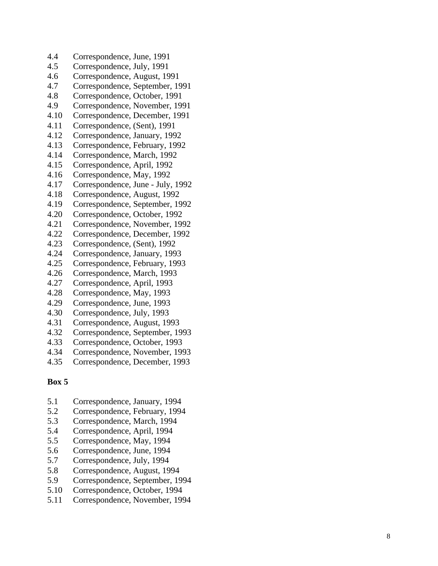- 4.4 Correspondence, June, 1991
- 4.5 Correspondence, July, 1991
- 4.6 Correspondence, August, 1991
- 4.7 Correspondence, September, 1991
- 4.8 Correspondence, October, 1991
- 4.9 Correspondence, November, 1991
- 4.10 Correspondence, December, 1991
- 4.11 Correspondence, (Sent), 1991
- 4.12 Correspondence, January, 1992
- 4.13 Correspondence, February, 1992
- 4.14 Correspondence, March, 1992
- 4.15 Correspondence, April, 1992
- 4.16 Correspondence, May, 1992
- 4.17 Correspondence, June July, 1992
- 4.18 Correspondence, August, 1992
- 4.19 Correspondence, September, 1992
- 4.20 Correspondence, October, 1992
- 4.21 Correspondence, November, 1992
- 4.22 Correspondence, December, 1992
- 4.23 Correspondence, (Sent), 1992
- 4.24 Correspondence, January, 1993
- 4.25 Correspondence, February, 1993
- 4.26 Correspondence, March, 1993
- 4.27 Correspondence, April, 1993
- 4.28 Correspondence, May, 1993
- 4.29 Correspondence, June, 1993
- 4.30 Correspondence, July, 1993
- 4.31 Correspondence, August, 1993
- 4.32 Correspondence, September, 1993
- 4.33 Correspondence, October, 1993
- 4.34 Correspondence, November, 1993
- 4.35 Correspondence, December, 1993

- 5.1 Correspondence, January, 1994
- 5.2 Correspondence, February, 1994
- 5.3 Correspondence, March, 1994
- 5.4 Correspondence, April, 1994
- 5.5 Correspondence, May, 1994
- 5.6 Correspondence, June, 1994
- 5.7 Correspondence, July, 1994
- 5.8 Correspondence, August, 1994
- 5.9 Correspondence, September, 1994
- 5.10 Correspondence, October, 1994
- 5.11 Correspondence, November, 1994